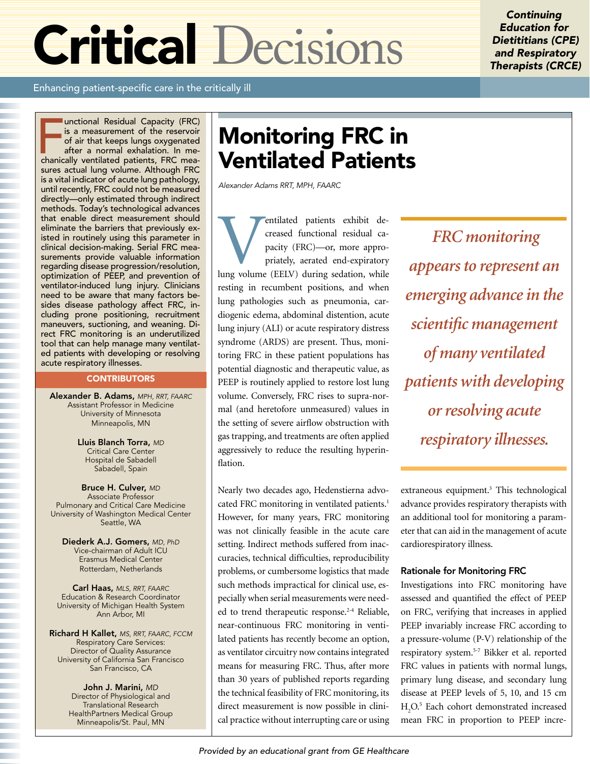# Critical Decisions

**Continuing** Education for Dietititians (CPE) and Respiratory Therapists (CRCE)

Enhancing patient-specific care in the critically ill

Inctional Residual Capacity (FRC) is a measurement of the reservoir of air that keeps lungs oxygenated after a normal exhalation. In mechanically ventilated patients, FRC meaunctional Residual Capacity (FRC) is a measurement of the reservoir of air that keeps lungs oxygenated after a normal exhalation. In mesures actual lung volume. Although FRC is a vital indicator of acute lung pathology, until recently, FRC could not be measured directly—only estimated through indirect methods. Today's technological advances that enable direct measurement should eliminate the barriers that previously existed in routinely using this parameter in clinical decision-making. Serial FRC measurements provide valuable information regarding disease progression/resolution, optimization of PEEP, and prevention of ventilator-induced lung injury. Clinicians need to be aware that many factors besides disease pathology affect FRC, including prone positioning, recruitment maneuvers, suctioning, and weaning. Direct FRC monitoring is an underutilized tool that can help manage many ventilated patients with developing or resolving acute respiratory illnesses.

# **CONTRIBUTORS**

Alexander B. Adams, MPH, RRT, FAARC Assistant Professor in Medicine University of Minnesota Minneapolis, MN

> Lluis Blanch Torra, MD Critical Care Center Hospital de Sabadell Sabadell, Spain

Bruce H. Culver, MD Associate Professor Pulmonary and Critical Care Medicine University of Washington Medical Center Seattle, WA

Diederk A.J. Gomers, MD, PhD Vice-chairman of Adult ICU Erasmus Medical Center Rotterdam, Netherlands

Carl Haas, MLS, RRT, FAARC Education & Research Coordinator University of Michigan Health System Ann Arbor, MI

Richard H Kallet, MS, RRT, FAARC, FCCM Respiratory Care Services: Director of Quality Assurance University of California San Francisco San Francisco, CA

> John J. Marini, MD Director of Physiological and Translational Research HealthPartners Medical Group Minneapolis/St. Paul, MN

# Monitoring FRC in Ventilated Patients

Alexander Adams RRT, MPH, FAARC

**Ventilated patients exhibit decreased functional residual capacity (FRC)—or, more appropriately, aerated end-expiratory lung volume (EELV) during sedation, while** creased functional residual capacity (FRC)—or, more appropriately, aerated end-expiratory resting in recumbent positions, and when lung pathologies such as pneumonia, cardiogenic edema, abdominal distention, acute lung injury (ALI) or acute respiratory distress syndrome (ARDS) are present. Thus, monitoring FRC in these patient populations has potential diagnostic and therapeutic value, as PEEP is routinely applied to restore lost lung volume. Conversely, FRC rises to supra-normal (and heretofore unmeasured) values in the setting of severe airflow obstruction with gas trapping, and treatments are often applied aggressively to reduce the resulting hyperinflation.

Nearly two decades ago, Hedenstierna advocated FRC monitoring in ventilated patients.<sup>1</sup> However, for many years, FRC monitoring was not clinically feasible in the acute care setting. Indirect methods suffered from inaccuracies, technical difficulties, reproducibility problems, or cumbersome logistics that made such methods impractical for clinical use, especially when serial measurements were needed to trend therapeutic response.<sup>2-4</sup> Reliable, near-continuous FRC monitoring in ventilated patients has recently become an option, as ventilator circuitry now contains integrated means for measuring FRC. Thus, after more than 30 years of published reports regarding the technical feasibility of FRC monitoring, its direct measurement is now possible in clinical practice without interrupting care or using

 *FRC monitoring appears to represent an emerging advance in the scientific management of many ventilated patients with developing or resolving acute respiratory illnesses.* 

extraneous equipment.<sup>3</sup> This technological advance provides respiratory therapists with an additional tool for monitoring a parameter that can aid in the management of acute cardiorespiratory illness.

# Rationale for Monitoring FRC

Investigations into FRC monitoring have assessed and quantified the effect of PEEP on FRC, verifying that increases in applied PEEP invariably increase FRC according to a pressure-volume (P-V) relationship of the respiratory system.5-7 Bikker et al. reported FRC values in patients with normal lungs, primary lung disease, and secondary lung disease at PEEP levels of 5, 10, and 15 cm H2 O.5 Each cohort demonstrated increased mean FRC in proportion to PEEP incre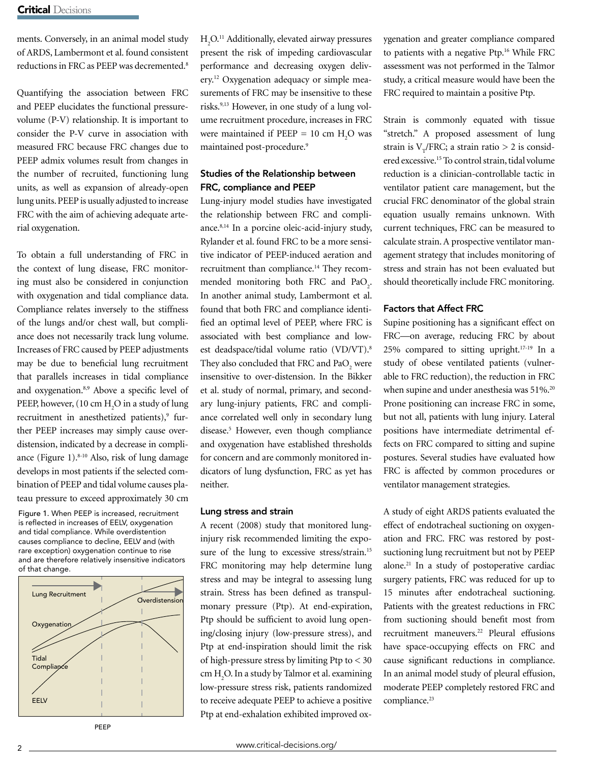ments. Conversely, in an animal model study of ARDS, Lambermont et al. found consistent reductions in FRC as PEEP was decremented.<sup>8</sup>

Quantifying the association between FRC and PEEP elucidates the functional pressurevolume (P-V) relationship. It is important to consider the P-V curve in association with measured FRC because FRC changes due to PEEP admix volumes result from changes in the number of recruited, functioning lung units, as well as expansion of already-open lung units. PEEP is usually adjusted to increase FRC with the aim of achieving adequate arterial oxygenation.

To obtain a full understanding of FRC in the context of lung disease, FRC monitoring must also be considered in conjunction with oxygenation and tidal compliance data. Compliance relates inversely to the stiffness of the lungs and/or chest wall, but compliance does not necessarily track lung volume. Increases of FRC caused by PEEP adjustments may be due to beneficial lung recruitment that parallels increases in tidal compliance and oxygenation.<sup>8,9</sup> Above a specific level of PEEP, however,  $(10 \text{ cm } H_2O \text{ in a study of lung})$ recruitment in anesthetized patients),<sup>9</sup> further PEEP increases may simply cause overdistension, indicated by a decrease in compliance (Figure 1). $8-10$  Also, risk of lung damage develops in most patients if the selected combination of PEEP and tidal volume causes plateau pressure to exceed approximately 30 cm

Figure 1. When PEEP is increased, recruitment is reflected in increases of EELV, oxygenation and tidal compliance. While overdistention causes compliance to decline, EELV and (with rare exception) oxygenation continue to rise and are therefore relatively insensitive indicators of that change.



PEEP

H<sub>2</sub>O.<sup>11</sup> Additionally, elevated airway pressures present the risk of impeding cardiovascular performance and decreasing oxygen delivery.12 Oxygenation adequacy or simple measurements of FRC may be insensitive to these risks.9,13 However, in one study of a lung volume recruitment procedure, increases in FRC were maintained if  $PEEP = 10$  cm  $H<sub>2</sub>O$  was maintained post-procedure.<sup>9</sup>

# Studies of the Relationship between FRC, compliance and PEEP

Lung-injury model studies have investigated the relationship between FRC and compliance.8,14 In a porcine oleic-acid-injury study, Rylander et al. found FRC to be a more sensitive indicator of PEEP-induced aeration and recruitment than compliance.<sup>14</sup> They recommended monitoring both FRC and  $PaO<sub>2</sub>$ . In another animal study, Lambermont et al. found that both FRC and compliance identified an optimal level of PEEP, where FRC is associated with best compliance and lowest deadspace/tidal volume ratio (VD/VT).<sup>8</sup> They also concluded that FRC and PaO<sub>2</sub> were insensitive to over-distension. In the Bikker et al. study of normal, primary, and secondary lung-injury patients, FRC and compliance correlated well only in secondary lung disease.<sup>5</sup> However, even though compliance and oxygenation have established thresholds for concern and are commonly monitored indicators of lung dysfunction, FRC as yet has neither.

## Lung stress and strain

A recent (2008) study that monitored lunginjury risk recommended limiting the exposure of the lung to excessive stress/strain.<sup>15</sup> FRC monitoring may help determine lung stress and may be integral to assessing lung strain. Stress has been defined as transpulmonary pressure (Ptp). At end-expiration, Ptp should be sufficient to avoid lung opening/closing injury (low-pressure stress), and Ptp at end-inspiration should limit the risk of high-pressure stress by limiting Ptp to < 30 cm  $H_2O$ . In a study by Talmor et al. examining low-pressure stress risk, patients randomized to receive adequate PEEP to achieve a positive Ptp at end-exhalation exhibited improved oxygenation and greater compliance compared to patients with a negative Ptp.<sup>16</sup> While FRC assessment was not performed in the Talmor study, a critical measure would have been the FRC required to maintain a positive Ptp.

Strain is commonly equated with tissue "stretch." A proposed assessment of lung strain is V<sub>T</sub>/FRC; a strain ratio  $> 2$  is considered excessive.15 To control strain, tidal volume reduction is a clinician-controllable tactic in ventilator patient care management, but the crucial FRC denominator of the global strain equation usually remains unknown. With current techniques, FRC can be measured to calculate strain. A prospective ventilator management strategy that includes monitoring of stress and strain has not been evaluated but should theoretically include FRC monitoring.

# Factors that Affect FRC

Supine positioning has a significant effect on FRC—on average, reducing FRC by about 25% compared to sitting upright.17-19 In a study of obese ventilated patients (vulnerable to FRC reduction), the reduction in FRC when supine and under anesthesia was 51%.<sup>20</sup> Prone positioning can increase FRC in some, but not all, patients with lung injury. Lateral positions have intermediate detrimental effects on FRC compared to sitting and supine postures. Several studies have evaluated how FRC is affected by common procedures or ventilator management strategies.

A study of eight ARDS patients evaluated the effect of endotracheal suctioning on oxygenation and FRC. FRC was restored by postsuctioning lung recruitment but not by PEEP alone.21 In a study of postoperative cardiac surgery patients, FRC was reduced for up to 15 minutes after endotracheal suctioning. Patients with the greatest reductions in FRC from suctioning should benefit most from recruitment maneuvers.<sup>22</sup> Pleural effusions have space-occupying effects on FRC and cause significant reductions in compliance. In an animal model study of pleural effusion, moderate PEEP completely restored FRC and compliance.<sup>23</sup>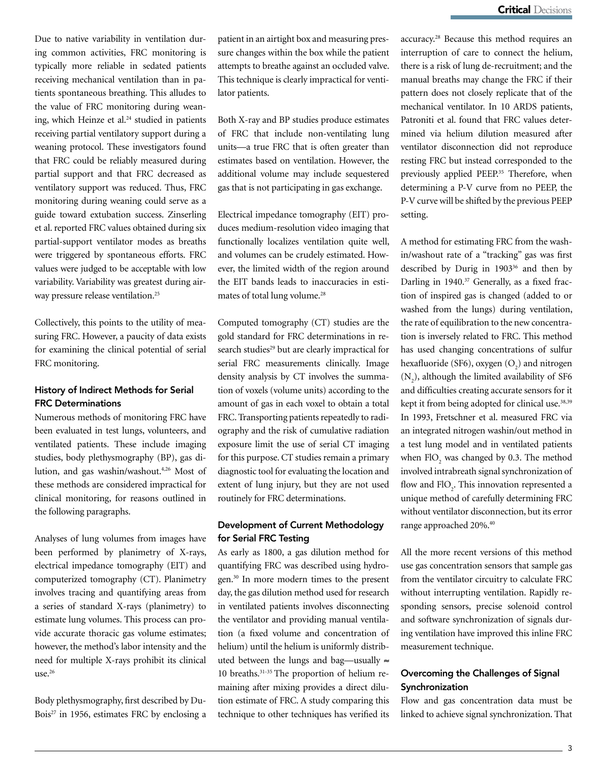Due to native variability in ventilation during common activities, FRC monitoring is typically more reliable in sedated patients receiving mechanical ventilation than in patients spontaneous breathing. This alludes to the value of FRC monitoring during weaning, which Heinze et al.<sup>24</sup> studied in patients receiving partial ventilatory support during a weaning protocol. These investigators found that FRC could be reliably measured during partial support and that FRC decreased as ventilatory support was reduced. Thus, FRC monitoring during weaning could serve as a guide toward extubation success. Zinserling et al. reported FRC values obtained during six partial-support ventilator modes as breaths were triggered by spontaneous efforts. FRC values were judged to be acceptable with low variability. Variability was greatest during airway pressure release ventilation.<sup>25</sup>

Collectively, this points to the utility of measuring FRC. However, a paucity of data exists for examining the clinical potential of serial FRC monitoring.

# History of Indirect Methods for Serial FRC Determinations

Numerous methods of monitoring FRC have been evaluated in test lungs, volunteers, and ventilated patients. These include imaging studies, body plethysmography (BP), gas dilution, and gas washin/washout.<sup>4,26</sup> Most of these methods are considered impractical for clinical monitoring, for reasons outlined in the following paragraphs.

Analyses of lung volumes from images have been performed by planimetry of X-rays, electrical impedance tomography (EIT) and computerized tomography (CT). Planimetry involves tracing and quantifying areas from a series of standard X-rays (planimetry) to estimate lung volumes. This process can provide accurate thoracic gas volume estimates; however, the method's labor intensity and the need for multiple X-rays prohibit its clinical use.<sup>26</sup>

Body plethysmography, first described by Du-Bois<sup>27</sup> in 1956, estimates FRC by enclosing a patient in an airtight box and measuring pressure changes within the box while the patient attempts to breathe against an occluded valve. This technique is clearly impractical for ventilator patients.

Both X-ray and BP studies produce estimates of FRC that include non-ventilating lung units—a true FRC that is often greater than estimates based on ventilation. However, the additional volume may include sequestered gas that is not participating in gas exchange.

Electrical impedance tomography (EIT) produces medium-resolution video imaging that functionally localizes ventilation quite well, and volumes can be crudely estimated. However, the limited width of the region around the EIT bands leads to inaccuracies in estimates of total lung volume.<sup>28</sup>

Computed tomography (CT) studies are the gold standard for FRC determinations in research studies<sup>29</sup> but are clearly impractical for serial FRC measurements clinically. Image density analysis by CT involves the summation of voxels (volume units) according to the amount of gas in each voxel to obtain a total FRC. Transporting patients repeatedly to radiography and the risk of cumulative radiation exposure limit the use of serial CT imaging for this purpose. CT studies remain a primary diagnostic tool for evaluating the location and extent of lung injury, but they are not used routinely for FRC determinations.

# Development of Current Methodology for Serial FRC Testing

As early as 1800, a gas dilution method for quantifying FRC was described using hydrogen.30 In more modern times to the present day, the gas dilution method used for research in ventilated patients involves disconnecting the ventilator and providing manual ventilation (a fixed volume and concentration of helium) until the helium is uniformly distributed between the lungs and bag—usually  $\approx$ 10 breaths.31-35 The proportion of helium remaining after mixing provides a direct dilution estimate of FRC. A study comparing this technique to other techniques has verified its

accuracy.28 Because this method requires an interruption of care to connect the helium, there is a risk of lung de-recruitment; and the manual breaths may change the FRC if their pattern does not closely replicate that of the mechanical ventilator. In 10 ARDS patients, Patroniti et al. found that FRC values determined via helium dilution measured after ventilator disconnection did not reproduce resting FRC but instead corresponded to the previously applied PEEP.<sup>35</sup> Therefore, when determining a P-V curve from no PEEP, the P-V curve will be shifted by the previous PEEP setting.

A method for estimating FRC from the washin/washout rate of a "tracking" gas was first described by Durig in 1903<sup>36</sup> and then by Darling in 1940.<sup>37</sup> Generally, as a fixed fraction of inspired gas is changed (added to or washed from the lungs) during ventilation, the rate of equilibration to the new concentration is inversely related to FRC. This method has used changing concentrations of sulfur hexafluoride (SF6), oxygen  $(O<sub>2</sub>)$  and nitrogen  $(N_2)$ , although the limited availability of SF6 and difficulties creating accurate sensors for it kept it from being adopted for clinical use.<sup>38,39</sup> In 1993, Fretschner et al. measured FRC via an integrated nitrogen washin/out method in a test lung model and in ventilated patients when  $FIO_2$  was changed by 0.3. The method involved intrabreath signal synchronization of flow and  $FIO<sub>2</sub>$ . This innovation represented a unique method of carefully determining FRC without ventilator disconnection, but its error range approached 20%.40

All the more recent versions of this method use gas concentration sensors that sample gas from the ventilator circuitry to calculate FRC without interrupting ventilation. Rapidly responding sensors, precise solenoid control and software synchronization of signals during ventilation have improved this inline FRC measurement technique.

# Overcoming the Challenges of Signal **Synchronization**

Flow and gas concentration data must be linked to achieve signal synchronization. That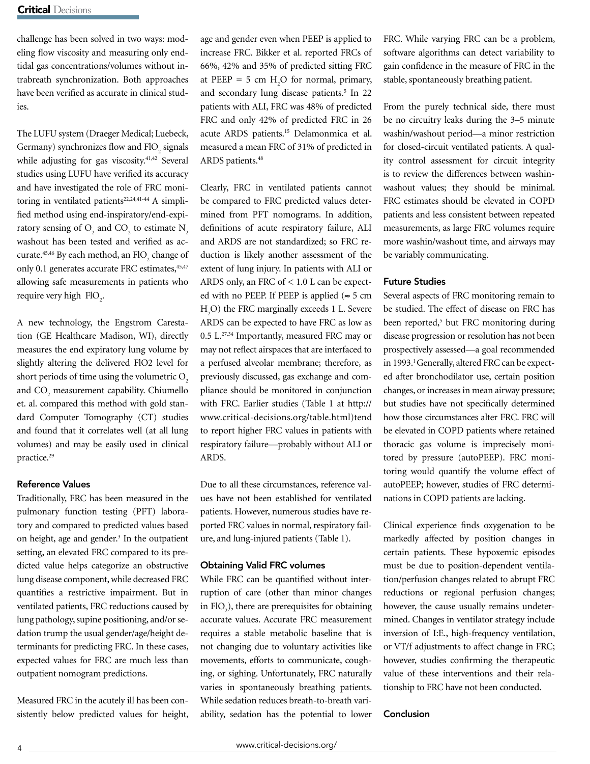challenge has been solved in two ways: modeling flow viscosity and measuring only endtidal gas concentrations/volumes without intrabreath synchronization. Both approaches have been verified as accurate in clinical studies.

The LUFU system (Draeger Medical; Luebeck, Germany) synchronizes flow and  ${\rm FIO}_2$  signals while adjusting for gas viscosity.<sup>41,42</sup> Several studies using LUFU have verified its accuracy and have investigated the role of FRC monitoring in ventilated patients<sup>22,24,41-44</sup> A simplified method using end-inspiratory/end-expiratory sensing of  $O_2$  and  $CO_2$  to estimate  $N_2$ washout has been tested and verified as accurate.<sup>45,46</sup> By each method, an  $\text{FIO}_{2}$  change of only 0.1 generates accurate FRC estimates, 45,47 allowing safe measurements in patients who require very high  $FIO_2$ .

A new technology, the Engstrom Carestation (GE Healthcare Madison, WI), directly measures the end expiratory lung volume by slightly altering the delivered FlO2 level for short periods of time using the volumetric  $O<sub>2</sub>$ and  $CO<sub>2</sub>$  measurement capability. Chiumello et. al. compared this method with gold standard Computer Tomography (CT) studies and found that it correlates well (at all lung volumes) and may be easily used in clinical practice.29

# Reference Values

Traditionally, FRC has been measured in the pulmonary function testing (PFT) laboratory and compared to predicted values based on height, age and gender.<sup>3</sup> In the outpatient setting, an elevated FRC compared to its predicted value helps categorize an obstructive lung disease component, while decreased FRC quantifies a restrictive impairment. But in ventilated patients, FRC reductions caused by lung pathology, supine positioning, and/or sedation trump the usual gender/age/height determinants for predicting FRC. In these cases, expected values for FRC are much less than outpatient nomogram predictions.

Measured FRC in the acutely ill has been consistently below predicted values for height, age and gender even when PEEP is applied to increase FRC. Bikker et al. reported FRCs of 66%, 42% and 35% of predicted sitting FRC at PEEP = 5 cm  $H_2O$  for normal, primary, and secondary lung disease patients.<sup>5</sup> In 22 patients with ALI, FRC was 48% of predicted FRC and only 42% of predicted FRC in 26 acute ARDS patients.15 Delamonmica et al. measured a mean FRC of 31% of predicted in ARDS patients.<sup>48</sup>

Clearly, FRC in ventilated patients cannot be compared to FRC predicted values determined from PFT nomograms. In addition, definitions of acute respiratory failure, ALI and ARDS are not standardized; so FRC reduction is likely another assessment of the extent of lung injury. In patients with ALI or ARDS only, an FRC of < 1.0 L can be expected with no PEEP. If PEEP is applied ( $\approx$  5 cm H2 O) the FRC marginally exceeds 1 L. Severe ARDS can be expected to have FRC as low as 0.5 L.27,34 Importantly, measured FRC may or may not reflect airspaces that are interfaced to a perfused alveolar membrane; therefore, as previously discussed, gas exchange and compliance should be monitored in conjunction with FRC. Earlier studies (Table 1 at http:// www.critical-decisions.org/table.html)tend to report higher FRC values in patients with respiratory failure—probably without ALI or ARDS.

Due to all these circumstances, reference values have not been established for ventilated patients. However, numerous studies have reported FRC values in normal, respiratory failure, and lung-injured patients (Table 1).

# Obtaining Valid FRC volumes

While FRC can be quantified without interruption of care (other than minor changes in  $FIO_2$ ), there are prerequisites for obtaining accurate values. Accurate FRC measurement requires a stable metabolic baseline that is not changing due to voluntary activities like movements, efforts to communicate, coughing, or sighing. Unfortunately, FRC naturally varies in spontaneously breathing patients. While sedation reduces breath-to-breath variability, sedation has the potential to lower FRC. While varying FRC can be a problem, software algorithms can detect variability to gain confidence in the measure of FRC in the stable, spontaneously breathing patient.

From the purely technical side, there must be no circuitry leaks during the 3–5 minute washin/washout period—a minor restriction for closed-circuit ventilated patients. A quality control assessment for circuit integrity is to review the differences between washinwashout values; they should be minimal. FRC estimates should be elevated in COPD patients and less consistent between repeated measurements, as large FRC volumes require more washin/washout time, and airways may be variably communicating.

# Future Studies

Several aspects of FRC monitoring remain to be studied. The effect of disease on FRC has been reported,<sup>5</sup> but FRC monitoring during disease progression or resolution has not been prospectively assessed—a goal recommended in 1993.<sup>1</sup> Generally, altered FRC can be expected after bronchodilator use, certain position changes, or increases in mean airway pressure; but studies have not specifically determined how those circumstances alter FRC. FRC will be elevated in COPD patients where retained thoracic gas volume is imprecisely monitored by pressure (autoPEEP). FRC monitoring would quantify the volume effect of autoPEEP; however, studies of FRC determinations in COPD patients are lacking.

Clinical experience finds oxygenation to be markedly affected by position changes in certain patients. These hypoxemic episodes must be due to position-dependent ventilation/perfusion changes related to abrupt FRC reductions or regional perfusion changes; however, the cause usually remains undetermined. Changes in ventilator strategy include inversion of I:E., high-frequency ventilation, or VT/f adjustments to affect change in FRC; however, studies confirming the therapeutic value of these interventions and their relationship to FRC have not been conducted.

## Conclusion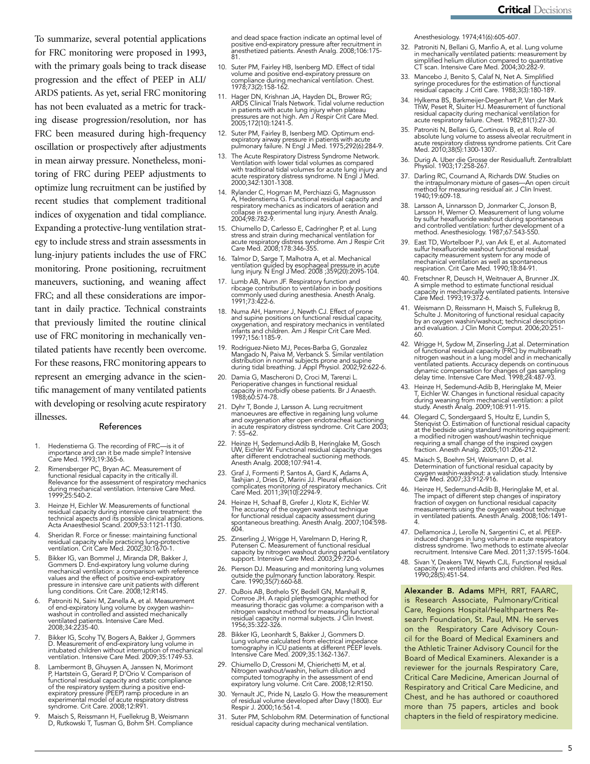To summarize, several potential applications for FRC monitoring were proposed in 1993, with the primary goals being to track disease progression and the effect of PEEP in ALI/ ARDS patients. As yet, serial FRC monitoring has not been evaluated as a metric for tracking disease progression/resolution, nor has FRC been measured during high-frequency oscillation or prospectively after adjustments in mean airway pressure. Nonetheless, monitoring of FRC during PEEP adjustments to optimize lung recruitment can be justified by recent studies that complement traditional indices of oxygenation and tidal compliance. Expanding a protective-lung ventilation strategy to include stress and strain assessments in lung-injury patients includes the use of FRC monitoring. Prone positioning, recruitment maneuvers, suctioning, and weaning affect FRC; and all these considerations are important in daily practice. Technical constraints that previously limited the routine clinical use of FRC monitoring in mechanically ventilated patients have recently been overcome. For these reasons, FRC monitoring appears to represent an emerging advance in the scientific management of many ventilated patients with developing or resolving acute respiratory illnesses.

#### References

- 1. Hedenstierna G. The recording of FRC—is it of importance and can it be made simple? Intensive Care Med. 1993;19:365-6.
- 2. Rimensberger PC, Bryan AC. Measurement of functional residual capacity in the critically ill. Relevance for the assessment of respiratory mechanics during mechanical ventilation. Intensive Care Med. 1999;25:540-2.
- 3. Heinze H, Eichler W. Measurements of functional residual capacity during intensive care treatment: the technical aspects and its possible clinical applications. Acta Anaesthesiol Scand. 2009;53:1121-1130.
- 4. Sheridan R. Force or finesse: maintaining functional residual capacity while practicing lung-protective ventilation. Crit Care Med. 2002;30:1670-1.
- Bikker IG, van Bommel J, Miranda DR, Bakker J, Gommers D. End-expiratory lung volume during<br>mechanical ventilation: a comparison with reference<br>values and the effect of positive end-expiratory<br>pressure in intensive care unit patients with different<br>lung conditions. Cri
- 6. Patroniti N, Saini M, Zanella A, et al. Measurement of end-expiratory lung volume by oxygen washin– washout in controlled and assisted mechanically ventilated patients. Intensive Care Med. 2008;34:2235-40.
- 7. Bikker IG, Scohy TV, Bogers A, Bakker J, Gommers D. Measurement of end-expiratory lung volume in intubated children without interruption of mechanical ventilation. Intensive Care Med. 2009;35:1749-53.
- 8. Lambermont B, Ghuysen A, Janssen N, Morimont P, Hartstein G, Gerard P, D'Orio V. Comparison of functional residual capacity and static compliance of the respiratory system during a positive end-expiratory pressure (PEEP) ramp procedure in an experimental model of acute respiratory distress syndrome. Crit Care. 2008;12:R91.
- 9. Maisch S, Reissmann H, Fuellekrug B, Weismann D, Rutkowski T, Tusman G, Bohm SH. Compliance

and dead space fraction indicate an optimal level of positive end-expiratory pressure after recruitment in anesthetized patients. Anesth Analg. 2008;106:175- 81.

- 10. Suter PM, Fairley HB, Isenberg MD. Effect of tidal volume and positive end-expiratory pressure on compliance during mechanical ventilation. Chest. 1978;73(2):158-162.
- 11. Hager DN, Krishnan JA, Hayden DL, Brower RG;<br>ARDS Clinical Trials Network. Tidal volume reduction<br>in patients with acute lung injury when plateau<br>pressures are not high. Am J Respir Crit Care Med.<br>2005;172(10):1241-5.
- 12. Suter PM, Fairley B, Isenberg MD. Optimum end-expiratory airway pressure in patients with acute pulmonary failure. N Engl J Med. 1975;292(6):284-9.
- 13. The Acute Respiratory Distress Syndrome Network. Ventilation with lower tidal volumes as compared with traditional tidal volumes for acute lung injury and acute respiratory distress syndrome. N Eng̃l J Méd.<br>2000;342:1301-1308.
- 14. Rylander C, Hogman M, Perchiazzi G, Magnusson A, Hedenstierna G. Functional residual capacity and respiratory mechanics as indicators of aeration and collapse in experimental lung injury. Anesth Analg. 2004;98:782-9.
- 15. Chiumello D, Carlesso E, Cadringher P, et al. Lung stress and strain during mechanical ventilation for acute respiratory distress syndrome. Am J Respir Crit Care Med. 2008;178:346-355.
- 16. Talmor D, Sarge T, Malhotra A, et al. Mechanical ventilation guided by esophageal pressure in acute lung injury. N Engl J Med. 2008 ;359(20):2095-104.
- 17. Lumb AB, Nunn JF. Respiratory function and ribcage contribution to ventilation in body positions commonly used during anesthesia. Anesth Analg. 1991;73:422-6.
- 18. Numa AH, Hammer J, Newth CJ. Effect of prone and supine positions on functional residual capacity, oxygenation, and respiratory mechanics in ventilated infants and children. Am J Respir Crit Care Med. 1997;156:1185-9.
- 19. Rodriguez-Nieto MJ, Peces-Barba G, Gonzalez Mangado N, Paiva M, Verbanck S. Similar ventilation distribution in normal subjects prone and supine during tidal breathing. J Appl Physiol. 2002;92:622-6.
- 20. Damia G, Mascheroni D, Croci M, Tarenzi L. Perioperative changes in functional residual capacity in morbidly obese patients. Br J Anaesth. 1988;60:574-78.
- 21. Dyhr T, Bonde J, Larsson A. Lung recruitment manoeuvres are effective in regaining lung volume and oxygenation after open endotracheal suctioning in acute respiratory distress syndrome. Crit Care 2003; 7: 55–62.
- 22. Heinze H, Sedemund-Adib B, Heringlake M, Gosch UW, Eichler W. Functional residual capacity changes after different endotracheal suctioning methods. Anesth Analg. 2008;107:941-4.
- 23. Graf J, Formenti P, Santos A, Gard K, Adams A, Tashjian J, Dries D, Marini JJ. Pleural effusion complicates monitoring of respiratory mechanics. Crit Care Med. 2011;39(10):2294-9.
- 24. Heinze H, Schaaf B, Grefer J, Klotz K, Eichler W. The accuracy of the oxygen washout technique for functional residual capacity assessment during spontaneous breathing. Anesth Analg. 2007;104:598- 604.
- 25. Zinserling J, Wrigge H, Varelmann D, Hering R, Putensen C. Measurement of functional residual capacity by nitrogen washout during partial ventilatory support. Intensive Care Med. 2003;29:720-6.
- 26. Pierson DJ. Measuring and monitoring lung volumes outside the pulmonary function laboratory. Respir. Care. 1990;35(7):660-68.
- 27. DuBois AB, Bothelo SY, Bedell GN, Marshall R, Comroe JH. A rapid plethysmographic method for measuring thoracic gas volume: a comparison with a nitrogen washout method for measuring functional residual capacity in normal subjects. J Clin Invest. 1956;35:322-326.
- 28. Bikker IG, Leonhardt S, Bakker J, Gommers D. Lung volume calculated from electrical impedance tomography in ICU patients at different PEEP levels. Intensive Care Med. 2009;35:1362-1367.
- 29. Chiumello D, Cressoni M, Chierichetti M, et al. Nitrogen washout/washin, helium dilution and computed tomography in the assessment of end expiratory lung volume. Crit Care. 2008;12:R150.
- 30. Yernault JC, Pride N, Laszlo G. How the measurement of residual volume developed after Davy (1800). Eur Respir J. 2000;16:561-4.
- 31. Suter PM, Schlobohm RM. Determination of functional residual capacity during mechanical ventilation.

Anesthesiology. 1974;41(6):605-607.

- 32. Patroniti N, Bellani G, Manfio A, et al. Lung volume in mechanically ventilated patients: measurement by simplified helium dilution compared to quantitative CT scan. Intensive Care Med. 2004;30:282-9.
- 33. Mancebo J, Benito S, Calaf N, Net A. Simplified syringe procedures for the estimation of functional residual capacity. J Critl Care. 1988;3(3):180-189.
- 34. Hylkema BS, Barkmeijer-Degenhart P, Van der Mark ThW, Peset R, Sluiter HJ. Measurement of functional residual capacity during mechanical ventilation for acute respiratory failure. Chest. 1982;81(1):27-30.
- 35. Patroniti N, Bellani G, Cortinovis B, et al. Role of absolute lung volume to assess alveolar recruitment in acute respiratory distress syndrome patients. Crit Care Med. 2010;38(5):1300-1307.
- 36. Durig A. Uber die Grosse der Residualluft. Zentralblatt Physiol. 1903;17:258-267.
- 37. Darling RC, Cournand A, Richards DW. Studies on the intrapulmonary mixture of gases—An open circuit method for measuring residual air. J Clin Invest. 1940;19:609-18.
- 38. Larsson A, Linnarsson D, Jonmarker C, Jonson B, Larsson H, Werner O. Measurement of lung volume by sulfur hexafluoride washout during spontaneous and controlled ventilation: further development of a method. Anesthesiology. 1987;67:543-550.
- 39. East TD, Wortelboer PJ, van Ark E, et al. Automated sulfur hexafluoride washout functional residual capacity measurement system for any mode of mechanical ventilation as well as spontaneous respiration. Crit Care Med. 1990;18:84-91.
- 40. Fretschner R, Deusch H, Weitnauer A, Brunner JX. A simple method to estimate functional residual capacity in mechanically ventilated patients. Intensive Care Med. 1993;19:372-6.
- 41. Weismann D, Reissmann H, Maisch S, Fullekrug B, Schulte J. Monitoring of functional residual capacity by an oxygen washin/washout; technical description and evaluation. J Clin Monit Comput. 2006;20:251-<br>60.
- 42. Wrigge H, Sydow M, Zinserling J,at al. Determination of functional residual capacity (FRC) by multibreath nitrogen washout in a lung model and in mechanically ventilated patients. Accuracy depends on continuous dynamic compensation for changes of gas sampling delay time. Intensive Care Med. 1998;24:487-93.
- 43. Heinze H, Sedemund-Adib B, Heringlake M, Meier T, Eichler W. Changes in functional residual capacity during weaning from mechanical ventilation: a pilot study. Anesth Analg. 2009;108:911-915.
- 44. Olegard C, Sondergaard S, Houltz E, Lundin S, Stenqvist O. Estimation of functional residual capacity at the bedside using standard monitoring equipment: a modified nitrogen washout/washin technique requiring a small change of the inspired oxygen fraction. Anesth Analg. 2005;101:206-212.
- 45. Maisch S, Boehm SH, Weismann D, et al. Determination of functional residual capacity by oxygen washin-washout: a validation study. Intensive Care Med. 2007;33:912-916.
- 46. Heinze H, Sedemund-Adib B, Heringlake M, et al. The impact of different step changes of inspiratory fraction of oxygen on functional residual capacity measurements using the oxygen washout technique in ventilated patients. Anesth Analg. 2008;106:1491- 4.
- 47. Dellamonica J, Lerolle N, Sargentini C, et al. PEEPinduced changes in lung volume in acute respiratory distress syndrome. Two methods to estimate alveolar recruitment. Intensive Care Med. 2011;37:1595-1604.
- 48. Sivan Y, Deakers TW, Newth CJL. Functional residual capacity in ventilated infants and children. Ped Res. 1990;28(5):451-54.

Alexander B. Adams MPH, RRT, FAARC, is Research Associate, Pulmonary/Critical Care, Regions Hospital/Healthpartners Research Foundation, St. Paul, MN. He serves on the Respiratory Care Advisory Council for the Board of Medical Examiners and the Athletic Trainer Advisory Council for the Board of Medical Examiners. Alexander is a reviewer for the journals Respiratory Care, Critical Care Medicine, American Journal of Respiratory and Critical Care Medicine, and Chest, and he has authored or coauthored more than 75 papers, articles and book chapters in the field of respiratory medicine.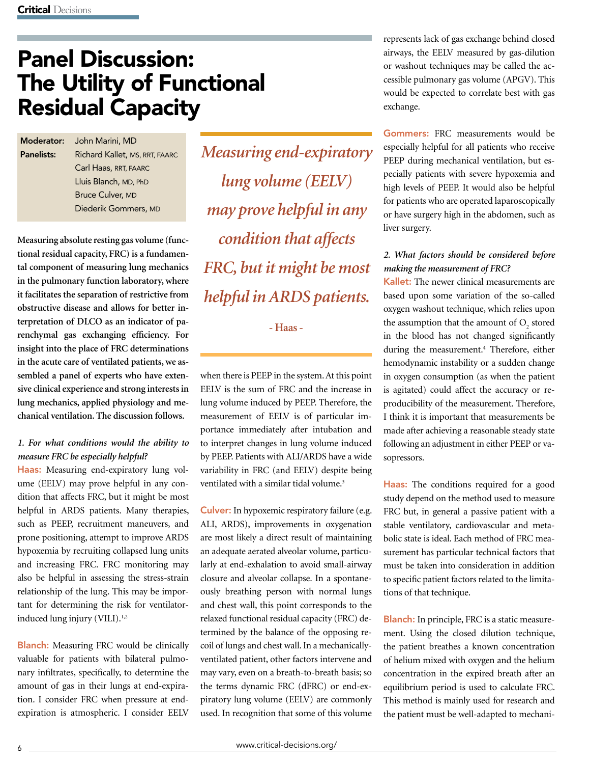# Panel Discussion: The Utility of Functional Residual Capacity

Moderator: John Marini, MD Panelists: Richard Kallet, MS, RRT, FAARC Carl Haas, RRT, FAARC Lluis Blanch, MD, PhD Bruce Culver, MD Diederik Gommers, MD

**Measuring absolute resting gas volume (functional residual capacity, FRC) is a fundamental component of measuring lung mechanics in the pulmonary function laboratory, where it facilitates the separation of restrictive from obstructive disease and allows for better interpretation of DLCO as an indicator of parenchymal gas exchanging efficiency. For insight into the place of FRC determinations in the acute care of ventilated patients, we assembled a panel of experts who have extensive clinical experience and strong interests in lung mechanics, applied physiology and mechanical ventilation. The discussion follows.** 

# *1. For what conditions would the ability to measure FRC be especially helpful?*

Haas: Measuring end-expiratory lung volume (EELV) may prove helpful in any condition that affects FRC, but it might be most helpful in ARDS patients. Many therapies, such as PEEP, recruitment maneuvers, and prone positioning, attempt to improve ARDS hypoxemia by recruiting collapsed lung units and increasing FRC. FRC monitoring may also be helpful in assessing the stress-strain relationship of the lung. This may be important for determining the risk for ventilatorinduced lung injury  $(VIII).<sup>1,2</sup>$ 

**Blanch:** Measuring FRC would be clinically valuable for patients with bilateral pulmonary infiltrates, specifically, to determine the amount of gas in their lungs at end-expiration. I consider FRC when pressure at endexpiration is atmospheric. I consider EELV

*Measuring end-expiratory lung volume (EELV) may prove helpful in any condition that affects FRC, but it might be most helpful in ARDS patients.*

**- Haas -**

when there is PEEP in the system. At this point EELV is the sum of FRC and the increase in lung volume induced by PEEP. Therefore, the measurement of EELV is of particular importance immediately after intubation and to interpret changes in lung volume induced by PEEP. Patients with ALI/ARDS have a wide variability in FRC (and EELV) despite being ventilated with a similar tidal volume.<sup>3</sup>

Culver: In hypoxemic respiratory failure (e.g. ALI, ARDS), improvements in oxygenation are most likely a direct result of maintaining an adequate aerated alveolar volume, particularly at end-exhalation to avoid small-airway closure and alveolar collapse. In a spontaneously breathing person with normal lungs and chest wall, this point corresponds to the relaxed functional residual capacity (FRC) determined by the balance of the opposing recoil of lungs and chest wall. In a mechanicallyventilated patient, other factors intervene and may vary, even on a breath-to-breath basis; so the terms dynamic FRC (dFRC) or end-expiratory lung volume (EELV) are commonly used. In recognition that some of this volume represents lack of gas exchange behind closed airways, the EELV measured by gas-dilution or washout techniques may be called the accessible pulmonary gas volume (APGV). This would be expected to correlate best with gas exchange.

Gommers: FRC measurements would be especially helpful for all patients who receive PEEP during mechanical ventilation, but especially patients with severe hypoxemia and high levels of PEEP. It would also be helpful for patients who are operated laparoscopically or have surgery high in the abdomen, such as liver surgery.

# *2. What factors should be considered before making the measurement of FRC?*

Kallet: The newer clinical measurements are based upon some variation of the so-called oxygen washout technique, which relies upon the assumption that the amount of  $O_2$  stored in the blood has not changed significantly during the measurement.<sup>4</sup> Therefore, either hemodynamic instability or a sudden change in oxygen consumption (as when the patient is agitated) could affect the accuracy or reproducibility of the measurement. Therefore, I think it is important that measurements be made after achieving a reasonable steady state following an adjustment in either PEEP or vasopressors.

Haas: The conditions required for a good study depend on the method used to measure FRC but, in general a passive patient with a stable ventilatory, cardiovascular and metabolic state is ideal. Each method of FRC measurement has particular technical factors that must be taken into consideration in addition to specific patient factors related to the limitations of that technique.

Blanch: In principle, FRC is a static measurement. Using the closed dilution technique, the patient breathes a known concentration of helium mixed with oxygen and the helium concentration in the expired breath after an equilibrium period is used to calculate FRC. This method is mainly used for research and the patient must be well-adapted to mechani-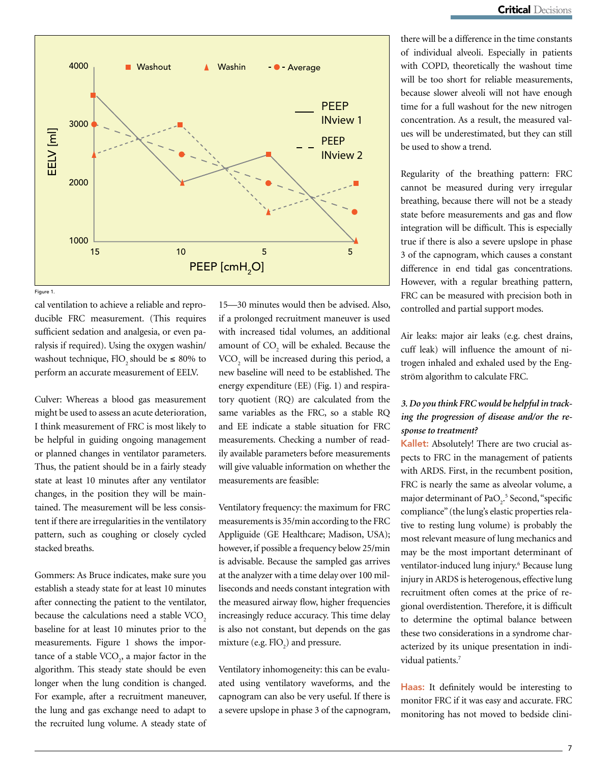

Figure 1.

cal ventilation to achieve a reliable and reproducible FRC measurement. (This requires sufficient sedation and analgesia, or even paralysis if required). Using the oxygen washin/ washout technique, FlO<sub>2</sub> should be  $\leq 80\%$  to perform an accurate measurement of EELV.

Culver: Whereas a blood gas measurement might be used to assess an acute deterioration, I think measurement of FRC is most likely to be helpful in guiding ongoing management or planned changes in ventilator parameters. Thus, the patient should be in a fairly steady state at least 10 minutes after any ventilator changes, in the position they will be maintained. The measurement will be less consistent if there are irregularities in the ventilatory pattern, such as coughing or closely cycled stacked breaths.

Gommers: As Bruce indicates, make sure you establish a steady state for at least 10 minutes after connecting the patient to the ventilator, because the calculations need a stable VCO<sub>2</sub> baseline for at least 10 minutes prior to the measurements. Figure 1 shows the importance of a stable  $VCO<sub>2</sub>$ , a major factor in the algorithm. This steady state should be even longer when the lung condition is changed. For example, after a recruitment maneuver, the lung and gas exchange need to adapt to the recruited lung volume. A steady state of

15—30 minutes would then be advised. Also, if a prolonged recruitment maneuver is used with increased tidal volumes, an additional amount of  $CO_2$  will be exhaled. Because the VCO<sub>2</sub> will be increased during this period, a new baseline will need to be established. The energy expenditure (EE) (Fig. 1) and respiratory quotient (RQ) are calculated from the same variables as the FRC, so a stable RQ and EE indicate a stable situation for FRC measurements. Checking a number of readily available parameters before measurements will give valuable information on whether the measurements are feasible:

Ventilatory frequency: the maximum for FRC measurements is 35/min according to the FRC Appliguide (GE Healthcare; Madison, USA); however, if possible a frequency below 25/min is advisable. Because the sampled gas arrives at the analyzer with a time delay over 100 milliseconds and needs constant integration with the measured airway flow, higher frequencies increasingly reduce accuracy. This time delay is also not constant, but depends on the gas mixture (e.g.  $FIO<sub>2</sub>$ ) and pressure.

Ventilatory inhomogeneity: this can be evaluated using ventilatory waveforms, and the capnogram can also be very useful. If there is a severe upslope in phase 3 of the capnogram, there will be a difference in the time constants of individual alveoli. Especially in patients with COPD, theoretically the washout time will be too short for reliable measurements, because slower alveoli will not have enough time for a full washout for the new nitrogen concentration. As a result, the measured values will be underestimated, but they can still be used to show a trend.

Regularity of the breathing pattern: FRC cannot be measured during very irregular breathing, because there will not be a steady state before measurements and gas and flow integration will be difficult. This is especially true if there is also a severe upslope in phase 3 of the capnogram, which causes a constant difference in end tidal gas concentrations. However, with a regular breathing pattern, FRC can be measured with precision both in controlled and partial support modes.

Air leaks: major air leaks (e.g. chest drains, cuff leak) will influence the amount of nitrogen inhaled and exhaled used by the Engström algorithm to calculate FRC.

# *3. Do you think FRC would be helpful in tracking the progression of disease and/or the response to treatment?*

Kallet: Absolutely! There are two crucial aspects to FRC in the management of patients with ARDS. First, in the recumbent position, FRC is nearly the same as alveolar volume, a major determinant of PaO<sub>2</sub>.<sup>5</sup> Second, "specific compliance" (the lung's elastic properties relative to resting lung volume) is probably the most relevant measure of lung mechanics and may be the most important determinant of ventilator-induced lung injury.<sup>6</sup> Because lung injury in ARDS is heterogenous, effective lung recruitment often comes at the price of regional overdistention. Therefore, it is difficult to determine the optimal balance between these two considerations in a syndrome characterized by its unique presentation in individual patients.<sup>7</sup>

Haas: It definitely would be interesting to monitor FRC if it was easy and accurate. FRC monitoring has not moved to bedside clini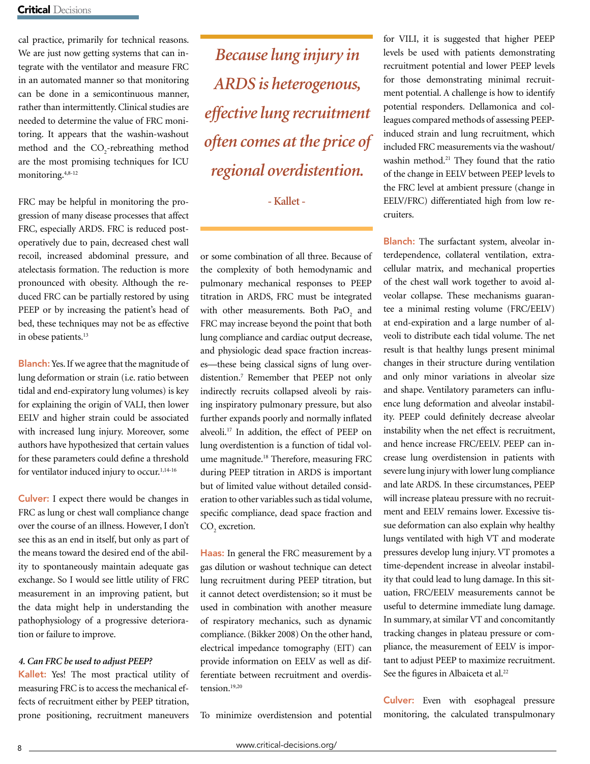cal practice, primarily for technical reasons. We are just now getting systems that can integrate with the ventilator and measure FRC in an automated manner so that monitoring can be done in a semicontinuous manner, rather than intermittently. Clinical studies are needed to determine the value of FRC monitoring. It appears that the washin-washout method and the  $CO_2$ -rebreathing method are the most promising techniques for ICU monitoring.4,8-12

FRC may be helpful in monitoring the progression of many disease processes that affect FRC, especially ARDS. FRC is reduced postoperatively due to pain, decreased chest wall recoil, increased abdominal pressure, and atelectasis formation. The reduction is more pronounced with obesity. Although the reduced FRC can be partially restored by using PEEP or by increasing the patient's head of bed, these techniques may not be as effective in obese patients.<sup>13</sup>

Blanch: Yes. If we agree that the magnitude of lung deformation or strain (i.e. ratio between tidal and end-expiratory lung volumes) is key for explaining the origin of VALI, then lower EELV and higher strain could be associated with increased lung injury. Moreover, some authors have hypothesized that certain values for these parameters could define a threshold for ventilator induced injury to occur.<sup>1,14-16</sup>

Culver: I expect there would be changes in FRC as lung or chest wall compliance change over the course of an illness. However, I don't see this as an end in itself, but only as part of the means toward the desired end of the ability to spontaneously maintain adequate gas exchange. So I would see little utility of FRC measurement in an improving patient, but the data might help in understanding the pathophysiology of a progressive deterioration or failure to improve.

# *4. Can FRC be used to adjust PEEP?*

Kallet: Yes! The most practical utility of measuring FRC is to access the mechanical effects of recruitment either by PEEP titration, prone positioning, recruitment maneuvers

*Because lung injury in ARDS is heterogenous, effective lung recruitment often comes at the price of regional overdistention.*

**- Kallet -**

or some combination of all three. Because of the complexity of both hemodynamic and pulmonary mechanical responses to PEEP titration in ARDS, FRC must be integrated with other measurements. Both  $PaO_2$  and FRC may increase beyond the point that both lung compliance and cardiac output decrease, and physiologic dead space fraction increases—these being classical signs of lung overdistention.7 Remember that PEEP not only indirectly recruits collapsed alveoli by raising inspiratory pulmonary pressure, but also further expands poorly and normally inflated alveoli.17 In addition, the effect of PEEP on lung overdistention is a function of tidal volume magnitude.18 Therefore, measuring FRC during PEEP titration in ARDS is important but of limited value without detailed consideration to other variables such as tidal volume, specific compliance, dead space fraction and  $CO<sub>2</sub>$  excretion.

Haas: In general the FRC measurement by a gas dilution or washout technique can detect lung recruitment during PEEP titration, but it cannot detect overdistension; so it must be used in combination with another measure of respiratory mechanics, such as dynamic compliance. (Bikker 2008) On the other hand, electrical impedance tomography (EIT) can provide information on EELV as well as differentiate between recruitment and overdistension.19,20

To minimize overdistension and potential

for VILI, it is suggested that higher PEEP levels be used with patients demonstrating recruitment potential and lower PEEP levels for those demonstrating minimal recruitment potential. A challenge is how to identify potential responders. Dellamonica and colleagues compared methods of assessing PEEPinduced strain and lung recruitment, which included FRC measurements via the washout/ washin method.<sup>21</sup> They found that the ratio of the change in EELV between PEEP levels to the FRC level at ambient pressure (change in EELV/FRC) differentiated high from low recruiters.

Blanch: The surfactant system, alveolar interdependence, collateral ventilation, extracellular matrix, and mechanical properties of the chest wall work together to avoid alveolar collapse. These mechanisms guarantee a minimal resting volume (FRC/EELV) at end-expiration and a large number of alveoli to distribute each tidal volume. The net result is that healthy lungs present minimal changes in their structure during ventilation and only minor variations in alveolar size and shape. Ventilatory parameters can influence lung deformation and alveolar instability. PEEP could definitely decrease alveolar instability when the net effect is recruitment, and hence increase FRC/EELV. PEEP can increase lung overdistension in patients with severe lung injury with lower lung compliance and late ARDS. In these circumstances, PEEP will increase plateau pressure with no recruitment and EELV remains lower. Excessive tissue deformation can also explain why healthy lungs ventilated with high VT and moderate pressures develop lung injury. VT promotes a time-dependent increase in alveolar instability that could lead to lung damage. In this situation, FRC/EELV measurements cannot be useful to determine immediate lung damage. In summary, at similar VT and concomitantly tracking changes in plateau pressure or compliance, the measurement of EELV is important to adjust PEEP to maximize recruitment. See the figures in Albaiceta et al.<sup>22</sup>

Culver: Even with esophageal pressure monitoring, the calculated transpulmonary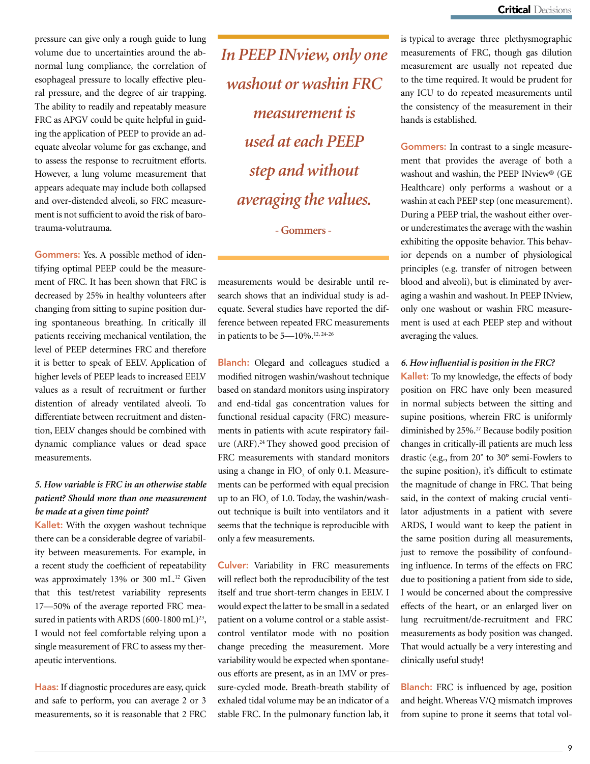pressure can give only a rough guide to lung volume due to uncertainties around the abnormal lung compliance, the correlation of esophageal pressure to locally effective pleural pressure, and the degree of air trapping. The ability to readily and repeatably measure FRC as APGV could be quite helpful in guiding the application of PEEP to provide an adequate alveolar volume for gas exchange, and to assess the response to recruitment efforts. However, a lung volume measurement that appears adequate may include both collapsed and over-distended alveoli, so FRC measurement is not sufficient to avoid the risk of barotrauma-volutrauma.

Gommers: Yes. A possible method of identifying optimal PEEP could be the measurement of FRC. It has been shown that FRC is decreased by 25% in healthy volunteers after changing from sitting to supine position during spontaneous breathing. In critically ill patients receiving mechanical ventilation, the level of PEEP determines FRC and therefore it is better to speak of EELV. Application of higher levels of PEEP leads to increased EELV values as a result of recruitment or further distention of already ventilated alveoli. To differentiate between recruitment and distention, EELV changes should be combined with dynamic compliance values or dead space measurements.

# *5. How variable is FRC in an otherwise stable patient? Should more than one measurement be made at a given time point?*

Kallet: With the oxygen washout technique there can be a considerable degree of variability between measurements. For example, in a recent study the coefficient of repeatability was approximately 13% or 300 mL.<sup>12</sup> Given that this test/retest variability represents 17—50% of the average reported FRC measured in patients with ARDS (600-1800 mL)<sup>23</sup>, I would not feel comfortable relying upon a single measurement of FRC to assess my therapeutic interventions.

Haas: If diagnostic procedures are easy, quick and safe to perform, you can average 2 or 3 measurements, so it is reasonable that 2 FRC *In PEEP INview, only one washout or washin FRC measurement is used at each PEEP step and without averaging the values.* 

**- Gommers -**

measurements would be desirable until research shows that an individual study is adequate. Several studies have reported the difference between repeated FRC measurements in patients to be 5—10%.12, 24-26

**Blanch:** Olegard and colleagues studied a modified nitrogen washin/washout technique based on standard monitors using inspiratory and end-tidal gas concentration values for functional residual capacity (FRC) measurements in patients with acute respiratory failure (ARF).<sup>24</sup> They showed good precision of FRC measurements with standard monitors using a change in  $FIO<sub>2</sub>$  of only 0.1. Measurements can be performed with equal precision up to an  $\text{FIO}_2$  of 1.0. Today, the washin/washout technique is built into ventilators and it seems that the technique is reproducible with only a few measurements.

Culver: Variability in FRC measurements will reflect both the reproducibility of the test itself and true short-term changes in EELV. I would expect the latter to be small in a sedated patient on a volume control or a stable assistcontrol ventilator mode with no position change preceding the measurement. More variability would be expected when spontaneous efforts are present, as in an IMV or pressure-cycled mode. Breath-breath stability of exhaled tidal volume may be an indicator of a stable FRC. In the pulmonary function lab, it

is typical to average three plethysmographic measurements of FRC, though gas dilution measurement are usually not repeated due to the time required. It would be prudent for any ICU to do repeated measurements until the consistency of the measurement in their hands is established.

Gommers: In contrast to a single measurement that provides the average of both a washout and washin, the PEEP INview® (GE Healthcare) only performs a washout or a washin at each PEEP step (one measurement). During a PEEP trial, the washout either overor underestimates the average with the washin exhibiting the opposite behavior. This behavior depends on a number of physiological principles (e.g. transfer of nitrogen between blood and alveoli), but is eliminated by averaging a washin and washout. In PEEP INview, only one washout or washin FRC measurement is used at each PEEP step and without averaging the values.

# *6. How influential is position in the FRC?*

Kallet: To my knowledge, the effects of body position on FRC have only been measured in normal subjects between the sitting and supine positions, wherein FRC is uniformly diminished by 25%.<sup>27</sup> Because bodily position changes in critically-ill patients are much less drastic (e.g., from 20˚ to 30° semi-Fowlers to the supine position), it's difficult to estimate the magnitude of change in FRC. That being said, in the context of making crucial ventilator adjustments in a patient with severe ARDS, I would want to keep the patient in the same position during all measurements, just to remove the possibility of confounding influence. In terms of the effects on FRC due to positioning a patient from side to side, I would be concerned about the compressive effects of the heart, or an enlarged liver on lung recruitment/de-recruitment and FRC measurements as body position was changed. That would actually be a very interesting and clinically useful study!

**Blanch:** FRC is influenced by age, position and height. Whereas V/Q mismatch improves from supine to prone it seems that total vol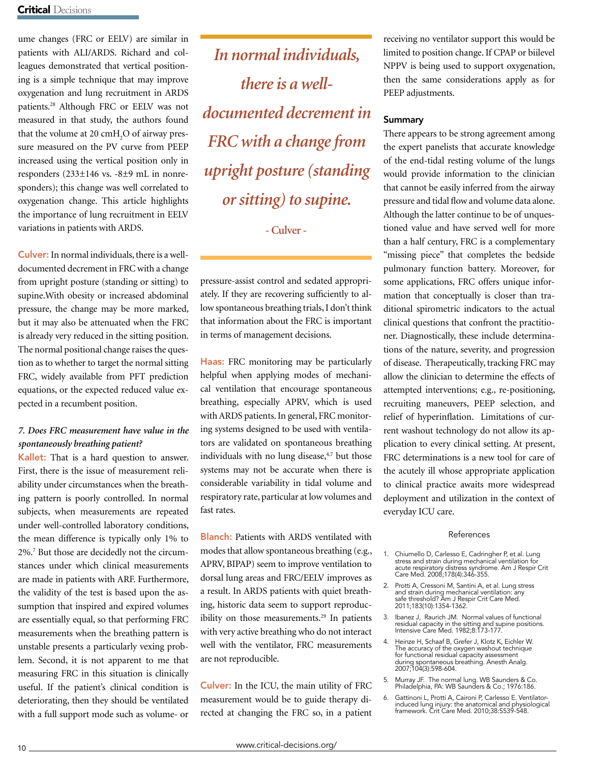ume changes (FRC or EELV) are similar in patients with ALI/ARDS. Richard and colleagues demonstrated that vertical positioning is a simple technique that may improve oxygenation and lung recruitment in ARDS patients.28 Although FRC or EELV was not measured in that study, the authors found that the volume at 20  $\text{cm}H_2\text{O}$  of airway pressure measured on the PV curve from PEEP increased using the vertical position only in responders (233±146 vs. -8±9 mL in nonresponders); this change was well correlated to oxygenation change. This article highlights the importance of lung recruitment in EELV variations in patients with ARDS.

Culver: In normal individuals, there is a welldocumented decrement in FRC with a change from upright posture (standing or sitting) to supine.With obesity or increased abdominal pressure, the change may be more marked, but it may also be attenuated when the FRC is already very reduced in the sitting position. The normal positional change raises the question as to whether to target the normal sitting FRC, widely available from PFT prediction equations, or the expected reduced value expected in a recumbent position.

# *7. Does FRC measurement have value in the spontaneously breathing patient?*

Kallet: That is a hard question to answer. First, there is the issue of measurement reliability under circumstances when the breathing pattern is poorly controlled. In normal subjects, when measurements are repeated under well-controlled laboratory conditions, the mean difference is typically only 1% to 2%.7 But those are decidedly not the circumstances under which clinical measurements are made in patients with ARF. Furthermore, the validity of the test is based upon the assumption that inspired and expired volumes are essentially equal, so that performing FRC measurements when the breathing pattern is unstable presents a particularly vexing problem. Second, it is not apparent to me that measuring FRC in this situation is clinically useful. If the patient's clinical condition is deteriorating, then they should be ventilated with a full support mode such as volume- or

*In normal individuals, there is a welldocumented decrement in FRC with a change from upright posture (standing or sitting) to supine.*

**- Culver -**

pressure-assist control and sedated appropriately. If they are recovering sufficiently to allow spontaneous breathing trials, I don't think that information about the FRC is important in terms of management decisions.

Haas: FRC monitoring may be particularly helpful when applying modes of mechanical ventilation that encourage spontaneous breathing, especially APRV, which is used with ARDS patients. In general, FRC monitoring systems designed to be used with ventilators are validated on spontaneous breathing individuals with no lung disease, $4,7$  but those systems may not be accurate when there is considerable variability in tidal volume and respiratory rate, particular at low volumes and fast rates.

Blanch: Patients with ARDS ventilated with modes that allow spontaneous breathing (e.g., APRV, BIPAP) seem to improve ventilation to dorsal lung areas and FRC/EELV improves as a result. In ARDS patients with quiet breathing, historic data seem to support reproducibility on those measurements.<sup>29</sup> In patients with very active breathing who do not interact well with the ventilator, FRC measurements are not reproducible.

Culver: In the ICU, the main utility of FRC measurement would be to guide therapy directed at changing the FRC so, in a patient receiving no ventilator support this would be limited to position change. If CPAP or biilevel NPPV is being used to support oxygenation, then the same considerations apply as for PEEP adjustments.

# **Summary**

There appears to be strong agreement among the expert panelists that accurate knowledge of the end-tidal resting volume of the lungs would provide information to the clinician that cannot be easily inferred from the airway pressure and tidal flow and volume data alone. Although the latter continue to be of unquestioned value and have served well for more than a half century, FRC is a complementary "missing piece" that completes the bedside pulmonary function battery. Moreover, for some applications, FRC offers unique information that conceptually is closer than traditional spirometric indicators to the actual clinical questions that confront the practitioner. Diagnostically, these include determinations of the nature, severity, and progression of disease. Therapeutically, tracking FRC may allow the clinician to determine the effects of attempted interventions; e.g., re-positioning, recruiting maneuvers, PEEP selection, and relief of hyperinflation. Limitations of current washout technology do not allow its application to every clinical setting. At present, FRC determinations is a new tool for care of the acutely ill whose appropriate application to clinical practice awaits more widespread deployment and utilization in the context of everyday ICU care.

## References

- 1. Chiumello D, Carlesso E, Cadringher P, et al. Lung stress and strain during mechanical ventilation for acute respiratory distress syndrome. Am J Respir Crit Care Med. 2008;178(4):346-355.
- 2. Protti A, Cressoni M, Santini A, et al. Lung stress and strain during mechanical ventilation: any safe threshold? Am J Respir Crit Care Med. 2011;183(10):1354-1362.
- 3. Ibanez J, Raurich JM. Normal values of functional residual capacity in the sitting and supine positions. Intensive Care Med. 1982;8:173-177.
- 4. Heinze H, Schaaf B, Grefer J, Klotz K, Eichler W. The accuracy of the oxygen washout technique for functional residual capacity assessment during spontaneous breathing. Anesth Analg. 2007;104(3):598-604.
- 5. Murray JF. The normal lung. WB Saunders & Co. Philadelphia, PA: WB Saunders & Co.; 1976:186.
- 6. Gattinoni L, Protti A, Caironi P, Carlesso E. Ventilatorinduced lung injury: the anatomical and physiological framework. Crit Care Med. 2010;38:S539-548.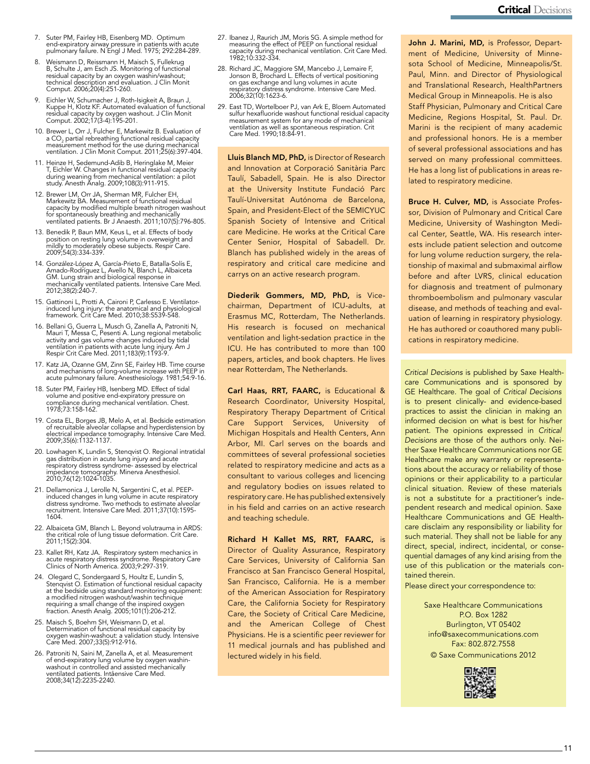- 7. Suter PM, Fairley HB, Eisenberg MD. Optimum end-expiratory airway pressure in patients with acute pulmonary failure. N Engl J Med. 1975; 292:284-289.
- 8. Weismann D, Reissmann H, Maisch S, Fullekrug B, Schulte J, am Esch JS. Monitoring of functional residual capacity by an oxygen washin/washout; technical description and evaluation. J Clin Monit Comput. 2006;20(4):251-260.
- 9. Eichler W, Schumacher J, Roth-Isigkeit A, Braun J, Kuppe H, Klotz KF. Automated evaluation of functional residual capacity by oxygen washout. J Clin Monit Comput. 2002;17(3-4):195-201.
- 10. Brewer L, Orr J, Fulcher E, Markewitz B. Evaluation of<br>a CO<sub>2</sub> partial rebreathing functional residual capacity<br>measurement method for the use during mechanical<br>ventilation. J Clin Monit Comput. 2011;25(6):397-404.
- 11. Heinze H, Sedemund-Adib B, Heringlake M, Meier T, Eichler W. Changes in functional residual capacity during weaning from mechanical ventilation: a pilot study. Anesth Analg. 2009;108(3):911-915.
- 12. Brewer LM, Orr JA, Sherman MR, Fulcher EH, Markewitz BA. Measurement of functional residual capacity by modified multiple breath nitrogen washout for spontaneously breathing and mechanically ventilated patients. Br J Anaesth. 2011;107(5):796-805.
- 13. Benedik P, Baun MM, Keus L, et al. Effects of body position on resting lung volume in overweight and mildly to moderately obese subjects. Respir Care. 2009;54(3):334-339.
- 14. González-López A, García-Prieto E, Batalla-Solís E, Amado-Rodríguez L, Avello N, Blanch L, Albaiceta GM. Lung strain and biological response in mechanically ventilated patients. Intensive Care Med. 2012;38(2):240-7.
- 15. Gattinoni L, Protti A, Caironi P, Carlesso E. Ventilator-induced lung injury: the anatomical and physiological framework. Crit Care Med. 2010;38:S539-548.
- 16. Bellani G, Guerra L, Musch G, Zanella A, Patroniti N, Mauri T, Messa C, Pesenti A. Lung regional metabolic activity and gas volume changes induced by tidal ventilation in patients with acute lung injury. Am J Respir Crit Care Med. 2011;183(9):1193-9.
- 17. Katz JA, Ozanne GM, Zinn SE, Fairley HB. Time course and mechanisms of long-volume increase with PEEP in acute pulmonary failure. Anesthesiology. 1981;54:9-16.
- 18. Suter PM, Fairley HB, Isenberg MD. Effect of tidal volume and positive end-expiratory pressure on compliance during mechanical ventilation. Chest. 1978;73:158-162.
- 19. Costa EL, Borges JB, Melo A, et al. Bedside estimation of recruitable alveolar collapse and hyperdistension by electrical impedance tomography. Intensive Care Med. 2009;35(6):1132-1137.
- 20. Lowhagen K, Lundin S, Stenqvist O. Regional intratidal gas distribution in acute lung injury and acute respiratory distress syndrome- assessed by electrical impedance tomography. Minerva Anesthesiol. 2010;76(12):1024-1035.
- 21. Dellamonica J, Lerolle N, Sargentini C, et al. PEEPinduced changes in lung volume in acute respiratory distress syndrome. Two methods to estimate alveolar recruitment. Intensive Care Med. 2011;37(10):1595- 1604.
- 22. Albaiceta GM, Blanch L. Beyond volutrauma in ARDS: the critical role of lung tissue deformation. Crit Care. 2011;15(2):304.
- 23. Kallet RH, Katz JA. Respiratory system mechanics in acute respiratory distress syndrome. Respiratory Care Clinics of North America. 2003;9:297-319.
- 24. Olegard C, Sondergaard S, Houltz E, Lundin S, Stenqvist O. Estimation of functional residual capacity at the bedside using standard monitoring equipment: a modified nitrogen washout/washin technique requiring a small change of the inspired oxygen fraction. Anesth Analg. 2005;101(1):206-212.
- 25. Maisch S, Boehm SH, Weismann D, et al. Determination of functional residual capacity by oxygen washin-washout: a validation study. Intensive Care Med. 2007;33(5):912-916.
- 26. Patroniti N, Saini M, Zanella A, et al. Measurement of end-expiratory lung volume by oxygen washin-washout in controlled and assisted mechanically ventilated patients. Intåensive Care Med. 2008;34(12):2235-2240.
- 27. Ibanez J, Raurich JM, Moris SG. A simple method for measuring the effect of PEEP on functional residual capacity during mechanical ventilation. Crit Care Med. 1982;10:332-334.
- 28. Richard JC, Maggiore SM, Mancebo J, Lemaire F, Jonson B, Brochard L. Effects of vertical positioning on gas exchange and lung volumes in acute respiratory distress syndrome. Intensive Care Med. 2006;32(10):1623-6.
- 29. East TD, Wortelboer PJ, van Ark E, Bloem Automated sulfur hexafluoride washout functional residual capacity measurement system for any mode of mechanical ventilation as well as spontaneous respiration. Crit Care Med. 1990;18:84-91.

Lluis Blanch MD, PhD, is Director of Research and Innovation at Corporació Sanitària Parc Taulí, Sabadell, Spain. He is also Director at the University Institute Fundació Parc Taulí-Universitat Autónoma de Barcelona, Spain, and President-Elect of the SEMICYUC Spanish Society of Intensive and Critical care Medicine. He works at the Critical Care Center Senior, Hospital of Sabadell. Dr. Blanch has published widely in the areas of respiratory and critical care medicine and carrys on an active research program.

Diederik Gommers, MD, PhD, is Vicechairman, Department of ICU-adults, at Erasmus MC, Rotterdam, The Netherlands. His research is focused on mechanical ventilation and light-sedation practice in the ICU. He has contributed to more than 100 papers, articles, and book chapters. He lives near Rotterdam, The Netherlands.

Carl Haas, RRT, FAARC, is Educational & Research Coordinator, University Hospital, Respiratory Therapy Department of Critical Care Support Services, University of Michigan Hospitals and Health Centers, Ann Arbor, MI. Carl serves on the boards and committees of several professional societies related to respiratory medicine and acts as a consultant to various colleges and licencing and regulatory bodies on issues related to respiratory care. He has published extensively in his field and carries on an active research and teaching schedule.

Richard H Kallet MS, RRT, FAARC, is Director of Quality Assurance, Respiratory Care Services, University of California San Francisco at San Francisco General Hospital, San Francisco, California. He is a member of the American Association for Respiratory Care, the California Society for Respiratory Care, the Society of Critical Care Medicine, and the American College of Chest Physicians. He is a scientific peer reviewer for 11 medical journals and has published and lectured widely in his field.

John J. Marini, MD, is Professor, Department of Medicine, University of Minnesota School of Medicine, Minneapolis/St. Paul, Minn. and Director of Physiological and Translational Research, HealthPartners Medical Group in Minneapolis. He is also Staff Physician, Pulmonary and Critical Care Medicine, Regions Hospital, St. Paul. Dr. Marini is the recipient of many academic and professional honors. He is a member of several professional associations and has served on many professional committees. He has a long list of publications in areas related to respiratory medicine.

Bruce H. Culver, MD, is Associate Professor, Division of Pulmonary and Critical Care Medicine, University of Washington Medical Center, Seattle, WA. His research interests include patient selection and outcome for lung volume reduction surgery, the relationship of maximal and submaximal airflow before and after LVRS, clinical education for diagnosis and treatment of pulmonary thromboembolism and pulmonary vascular disease, and methods of teaching and evaluation of learning in respiratory physiology. He has authored or coauthored many publications in respiratory medicine.

Critical Decisions is published by Saxe Healthcare Communications and is sponsored by GE Healthcare. The goal of Critical Decisions is to present clinically- and evidence-based practices to assist the clinician in making an informed decision on what is best for his/her patient. The opinions expressed in Critical Decisions are those of the authors only. Neither Saxe Healthcare Communications nor GE Healthcare make any warranty or representations about the accuracy or reliability of those opinions or their applicability to a particular clinical situation. Review of these materials is not a substitute for a practitioner's independent research and medical opinion. Saxe Healthcare Communications and GE Healthcare disclaim any responsibility or liability for such material. They shall not be liable for any direct, special, indirect, incidental, or consequential damages of any kind arising from the use of this publication or the materials contained therein.

Please direct your correspondence to:

Saxe Healthcare Communications P.O. Box 1282 Burlington, VT 05402 info@saxecommunications.com Fax: 802.872.7558 © Saxe Communications 2012